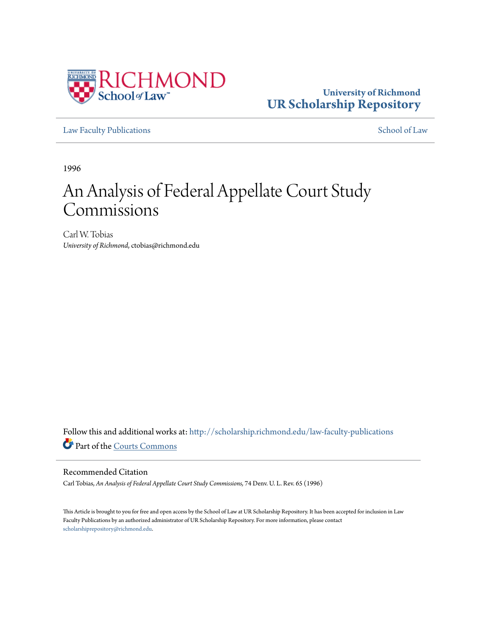

## **University of Richmond [UR Scholarship Repository](http://scholarship.richmond.edu?utm_source=scholarship.richmond.edu%2Flaw-faculty-publications%2F826&utm_medium=PDF&utm_campaign=PDFCoverPages)**

[Law Faculty Publications](http://scholarship.richmond.edu/law-faculty-publications?utm_source=scholarship.richmond.edu%2Flaw-faculty-publications%2F826&utm_medium=PDF&utm_campaign=PDFCoverPages) [School of Law](http://scholarship.richmond.edu/law?utm_source=scholarship.richmond.edu%2Flaw-faculty-publications%2F826&utm_medium=PDF&utm_campaign=PDFCoverPages)

1996

# An Analysis of Federal Appellate Court Study **Commissions**

Carl W. Tobias *University of Richmond*, ctobias@richmond.edu

Follow this and additional works at: [http://scholarship.richmond.edu/law-faculty-publications](http://scholarship.richmond.edu/law-faculty-publications?utm_source=scholarship.richmond.edu%2Flaw-faculty-publications%2F826&utm_medium=PDF&utm_campaign=PDFCoverPages) Part of the [Courts Commons](http://network.bepress.com/hgg/discipline/839?utm_source=scholarship.richmond.edu%2Flaw-faculty-publications%2F826&utm_medium=PDF&utm_campaign=PDFCoverPages)

#### Recommended Citation

Carl Tobias, *An Analysis of Federal Appellate Court Study Commissions,* 74 Denv. U. L. Rev. 65 (1996)

This Article is brought to you for free and open access by the School of Law at UR Scholarship Repository. It has been accepted for inclusion in Law Faculty Publications by an authorized administrator of UR Scholarship Repository. For more information, please contact [scholarshiprepository@richmond.edu.](mailto:scholarshiprepository@richmond.edu)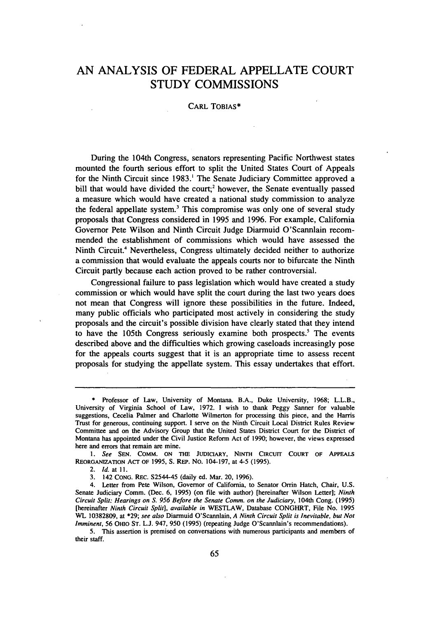### **AN ANALYSIS OF FEDERAL APPELLATE COURT STUDY COMMISSIONS**

#### CARL TOBIAS\*

During the 104th Congress, senators representing Pacific Northwest states mounted the fourth serious effort to split the United States Court of Appeals for the Ninth Circuit since 1983.<sup>1</sup> The Senate Judiciary Committee approved a bill that would have divided the court;<sup>2</sup> however, the Senate eventually passed a measure which would have created a national study commission to analyze the federal appellate system.<sup>3</sup> This compromise was only one of several study proposals that Congress considered in 1995 and 1996. For example, California Governor Pete Wilson and Ninth Circuit Judge Diarmuid O'Scannlain recommended the establishment of commissions which would have assessed the Ninth Circuit.4 Nevertheless, Congress ultimately decided neither to authorize a commission that would evaluate the appeals courts nor to bifurcate the Ninth Circuit partly because each action proved to be rather controversial.

Congressional failure to pass legislation which would have created a study commission or which would have split the court during the last two years does not mean that Congress will ignore these possibilities in the future. Indeed, many public officials who participated most actively in considering the study proposals and the circuit's possible division have clearly stated that they intend to have the 105th Congress seriously examine both prospects.<sup>5</sup> The events described above and the difficulties which growing caseloads increasingly pose for the appeals courts suggest that it is an appropriate time to assess recent proposals for studying the appellate system. This essay undertakes that effort.

<sup>\*</sup> Professor of Law, University of Montana. B.A., Duke University, 1968; L.L.B., University of Virginia School of Law, 1972. I wish to thank Peggy Sanner for valuable suggestions, Cecelia Palmer and Charlotte Wilmerton for processing this piece, and the Harris Trust for generous, continuing support. I serve on the Ninth Circuit Local District Rules Review Committee and on the Advisory Group that the United States District Court for the District of Montana has appointed under the Civil Justice Reform Act of 1990; however, the views expressed here and errors that remain are mine.

I. *See* SEN. COMM. ON THE JUDICIARY, NINTH CIRCUIT COURT OF APPEALS REORGANIZATION ACT OF 1995, s. REP. No. 104-197, at 4-5 (1995).

<sup>2.</sup> Id. at 11.

<sup>3. 142</sup> CONG. REC. S2544-45 (daily ed. Mar. 20, 1996).

<sup>4.</sup> Letter from Pete Wilson, Governor of California, to Senator Orrin Hatch, Chair, U.S. Senate Judiciary Comm. (Dec. 6, 1995) (on file with author) [hereinafter Wilson Letter]; *Ninth Circuit Split: Hearings on S. 956 Before the Senate Comm. on the Judiciary,* 104th Cong. (1995) [hereinafter *Ninth Circuit Split], available in* WESTLAW, Database CONGHRT, File No. 1995 WL 10382809, at \*29; *see also* Diarmuid O'Scannlain, *A Ninth Circuit Split is Inevitable, but Not Imminent,* 56 Omo ST. L.J. 947, 950 (1995) (repeating Judge O'Scannlain's recommendations).

<sup>5.</sup> This assertion is premised on conversations with numerous participants and members of their staff.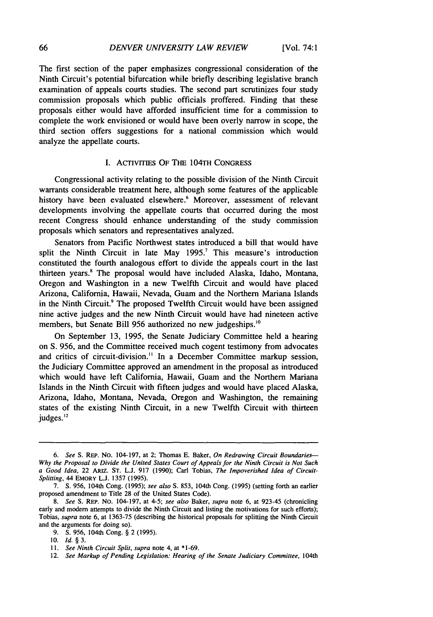The first section of the paper emphasizes congressional consideration of the Ninth Circuit's potential bifurcation while briefly describing legislative branch examination of appeals courts studies. The second part scrutinizes four study commission proposals which public officials proffered. Finding that these proposals either would have afforded insufficient time for a commission to complete the work envisioned or would have been overly narrow in scope, the third section offers suggestions for a national commission which would analyze the appellate courts.

#### I. ACTIVITIES OF THE 104TH CONGRESS

Congressional activity relating to the possible division of the Ninth Circuit warrants considerable treatment here, although some features of the applicable history have been evaluated elsewhere.<sup>6</sup> Moreover, assessment of relevant developments involving the appellate courts that occurred during the most recent Congress should enhance understanding of the study commission proposals which senators and representatives analyzed.

Senators from Pacific Northwest states introduced a bill that would have split the Ninth Circuit in late May  $1995$ .<sup>7</sup> This measure's introduction constituted the fourth analogous effort to divide the appeals court in the last thirteen years.8 The proposal would have included Alaska, Idaho, Montana, Oregon and Washington in a new Twelfth Circuit and would have placed Arizona, California, Hawaii, Nevada, Guam and the Northern Mariana Islands in the Ninth Circuit.<sup>9</sup> The proposed Twelfth Circuit would have been assigned nine active judges and the new Ninth Circuit would have had nineteen active members, but Senate Bill 956 authorized no new judgeships.<sup>10</sup>

On September 13, 1995, the Senate Judiciary Committee held a hearing on S. 956, and the Committee received much cogent testimony from advocates and critics of circuit-division.<sup>11</sup> In a December Committee markup session, the Judiciary Committee approved an amendment in the proposal as introduced which would have left California, Hawaii, Guam and the Northern Mariana Islands in the Ninth Circuit with fifteen judges and would have placed Alaska, Arizona, Idaho, Montana, Nevada, Oregon and Washington, the remaining states of the existing Ninth Circuit, in a new Twelfth Circuit with thirteen judges.<sup>12</sup>

<sup>6.</sup> *See* S. REP. No. 104-197, at 2; Thomas E. Baker, *On Redrawing Circuit Boundaries-- Why the Proposal to Divide the United States Court of Appeals for the Ninth Circuit is Not Such a Good Idea,* 22 ARIZ. ST. L.J. 917 (1990); Carl Tobias, *The Impoverished Idea of Circuit-Splitting,* 44 EMORY L.J. 1357 (1995).

<sup>7.</sup> S. 956, 104th Cong. (1995); *see also* S. 853, 104th Cong. (1995) (setting forth an earlier proposed amendment to Title 28 of the United States Code).

<sup>8.</sup> *See* S. REP. No. 104-197, at 4-5; *see also* Baker, *supra* note 6, at 923-45 (chronicling early and modem attempts to divide the Ninth Circuit and listing the motivations for such efforts); Tobias, *supra* note 6, at 1363-75 (describing the historical proposals for splitting the Ninth Circuit and the arguments for doing so).

<sup>9.</sup> S. 956, 104th Cong. § 2 (1995).

<sup>10.</sup> *Id.* § 3.

<sup>11.</sup> *See Ninth Circuit Split, supra* note 4, at \*1-69.

<sup>12.</sup> *See Markup of Pending Legislation: Hearing of the Senate Judiciary Committee, 104th*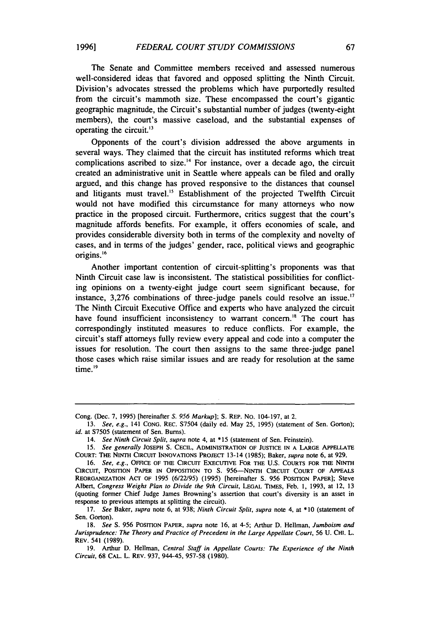The Senate and Committee members received and assessed numerous well-considered ideas that favored and opposed splitting the Ninth Circuit. Division's advocates stressed the problems which have purportedly resulted from the circuit's mammoth size. These encompassed the court's gigantic geographic magnitude, the Circuit's substantial number of judges (twenty-eight members), the court's massive caseload, and the substantial expenses of operating the circuit.<sup>13</sup>

Opponents of the court's division addressed the above arguments in several ways. They claimed that the circuit has instituted reforms which treat complications ascribed to size.<sup>14</sup> For instance, over a decade ago, the circuit created an administrative unit in Seattle where appeals can be filed and orally argued, and this change has proved responsive to the distances that counsel and litigants must travel.<sup>15</sup> Establishment of the projected Twelfth Circuit would not have modified this circumstance for many attorneys who now practice in the proposed circuit. Furthermore, critics suggest that the court's magnitude affords benefits. For example, it offers economies of scale, and provides considerable diversity both in terms of the complexity and novelty of cases, and in terms of the judges' gender, race, political views and geographic origins. <sup>16</sup>

Another important contention of circuit-splitting's proponents was that Ninth Circuit case law is inconsistent. The statistical possibilities for conflicting opinions on a twenty-eight judge court seem significant because, for instance,  $3,276$  combinations of three-judge panels could resolve an issue.<sup>17</sup> The Ninth Circuit Executive Office and experts who have analyzed the circuit have found insufficient inconsistency to warrant concern.<sup>18</sup> The court has correspondingly instituted measures to reduce conflicts. For example, the circuit's staff attorneys fully review every appeal and code into a computer the issues for resolution. The court then assigns to the same three-judge panel those cases which raise similar issues and are ready for resolution at the same time.<sup>19</sup>

Cong. (Dec. 7, 1995) [hereinafter *S. 956 Markup];* S. REP. No. 104-197, at 2.

<sup>13.</sup> *See, e.g.,* 141 CONG. REC. S7504 (daily ed. May 25, 1995) (statement of Sen. Gorton); *id.* at S7505 (statement of Sen. Bums).

<sup>14.</sup> *See Ninth Circuit Split, supra* note 4, at \* 15 (statement of Sen. Feinstein).

<sup>15.</sup> *See generally* JOSEPH s. CECIL, ADMINISTRATION OF JUSTICE IN A LARGE APPELLATE COURT: THE NINTH CIRCUIT INNOVATIONS PROJECT 13-14 (1985); Baker, *supra* note 6, at 929.

<sup>16.</sup> *See, e.g.*, OFFICE OF THE CIRCUIT EXECUTIVE FOR THE U.S. COURTS FOR THE NINTH CIRCUIT, POSITION PAPER IN OPPOSITION TO S. 956-NINTH CIRCUIT COURT OF APPEALS REORGANIZATION ACT OF 1995 (6/22195) (1995) [hereinafter s. 956 POSITION PAPER]; Steve Albert, *Congress Weighs Plan to Divide the 9th Circuit,* LEGAL TIMES, Feb. 1, 1993, at 12, 13 (quoting former Chief Judge James Browning's assertion that court's diversity is an asset in response to previous attempts at splitting the circuit).

<sup>17.</sup> *See* Baker, *supra* note 6, at 938; *Ninth Circuit Split, supra* note 4, at \*10 (statement of Sen. Gorton).

<sup>18.</sup> *See* S. 956 POSITION PAPER, *supra* note 16, at 4-5; Arthur D. Hellman, *Jumboism and*  Jurisprudence: The Theory and Practice of Precedent in the Large Appellate Court, 56 U. CHI. L. REV. 541 (1989).

<sup>19.</sup> Arthur D. Hellman, *Central Staff in Appellate Courts: The Experience of the Ninth Circuit,* 68 CAL. L. REV. 937, 944-45, 957-58 (1980).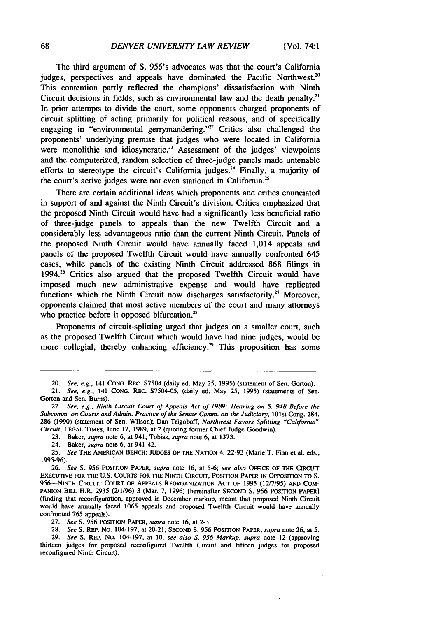The third argument of S. 956's advocates was that the court's California judges, perspectives and appeals have dominated the Pacific Northwest.<sup>20</sup> This contention partly reflected the champions' dissatisfaction with Ninth Circuit decisions in fields, such as environmental law and the death penalty.<sup>21</sup> In prior attempts to divide the court, some opponents charged proponents of circuit splitting of acting primarily for political reasons, and of specifically engaging in "environmental gerrymandering."<sup>22</sup> Critics also challenged the proponents' underlying premise that judges who were located in California were monolithic and idiosyncratic.<sup>23</sup> Assessment of the judges' viewpoints and the computerized, random selection of three-judge panels made untenable efforts to stereotype the circuit's California judges.<sup>24</sup> Finally, a majority of the court's active judges were not even stationed in California.<sup>25</sup>

There are certain additional ideas which proponents and critics enunciated in support of and against the Ninth Circuit's division. Critics emphasized that the proposed Ninth Circuit would have had a significantly less beneficial ratio of three-judge panels to appeals than the new Twelfth Circuit and a considerably less advantageous ratio than the current Ninth Circuit. Panels of the proposed Ninth Circuit would have annually faced 1,014 appeals and panels of the proposed Twelfth Circuit would have annually confronted 645 cases, while panels of the existing Ninth Circuit addressed 868 filings in 1994. $26$  Critics also argued that the proposed Twelfth Circuit would have imposed much new administrative expense and would have replicated functions which the Ninth Circuit now discharges satisfactorily.<sup>27</sup> Moreover, opponents claimed\_ that most active members of the court and many attorneys who practice before it opposed bifurcation.<sup>28</sup>

Proponents of circuit-splitting urged that judges on a smaller court, such as the proposed Twelfth Circuit which would have had nine judges, would be more collegial, thereby enhancing efficiency.<sup>29</sup> This proposition has some

23. Baker, *supra* note 6, at 941; Tobias, *supra* note 6, at 1373.

27. See S. 956 POSITION PAPER, *supra* note 16, at 2-3.

28. *See* S. REP. NO. 104-197, at 20-21; SECOND S. 956 POSITION PAPER, *supra* note 26, at 5.

29. *See* S. REP. No. 104-197, at 10; *see also S .. 956 Markup, supra* note 12 (approving thirteen judges for proposed reconfigured Twelfth Circuit and fifteen judges for proposed reconfigured Ninth Circuit).

<sup>20.</sup> *See, e.g.,* 141 CONG. REC. S7504 (daily ed. May 25, 1995) (statement of Sen. Gorton).

<sup>21.</sup> *See, e.g.,* 141 CONG. REC. S7504-05, (daily ed. May 25, 1995) (statements of Sen. Gorton and Sen. Burns).

<sup>22.</sup> *See, e.g., Ninth Circuit Court of Appeals Act of 1989: Hearing on S. 948 Before the*  Subcomm. on Courts and Admin. Practice of the Senate Comm. on the Judiciary, 101st Cong. 284, 286 (1990) (statement of Sen. Wilson); Dan Trigoboff, *Northwest Favors Splitting "California" Circuit,* LEGAL TIMES, June 12, 1989, at 2 (quoting former Chief Judge Goodwin).

<sup>24.</sup> Baker, *supra* note 6, at 941-42.

<sup>25.</sup> *See* THE AMERICAN BENCH: JUDGES OF THE NATION 4, 22-93 (Marie T. Finn et al. eds., 1995-96).

<sup>26.</sup> *See* S. 956 POSITION PAPER, *supra* note 16, at 5-6; *see also* OFFICE OF THE CIRCUIT EXECUTIVE FOR THE U.S. COURTS FOR THE NINTH CIRCUIT, POSITION PAPER IN OPPOSITION TO S. 956-NINTH CIRCUIT COURT OF APPEALS REORGANIZATION ACT OF 1995 (12/7/95) AND COM-PANION BILL H.R. 2935 (2/1/96) 3 (Mar. 7, 1996) [hereinafter SECOND S. 956 POSITION PAPER] (finding that reconfiguration, approved in December markup, meant that proposed Ninth Circuit would have annually faced 1065 appeals and proposed Twelfth Circuit would have annually confronted 765 appeals).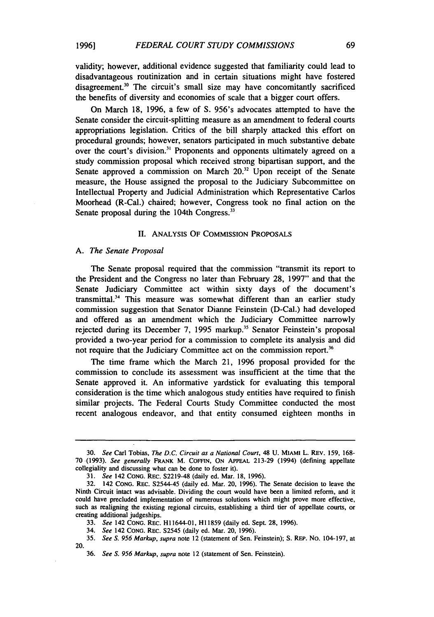validity; however, additional evidence suggested that familiarity could lead to disadvantageous routinization and in certain situations might have fostered disagreement.<sup>30</sup> The circuit's small size may have concomitantly sacrificed the benefits of diversity and economies of scale that a bigger court offers.

On March 18, 1996, a few of S. 956's advocates attempted to have the Senate consider the circuit-splitting measure as an amendment to federal courts appropriations legislation. Critics of the bill sharply attacked this effort on procedural grounds; however, senators participated in much substantive debate over the court's division.<sup>31</sup> Proponents and opponents ultimately agreed on a study commission proposal which received strong bipartisan support, and the Senate approved a commission on March  $20<sup>32</sup>$  Upon receipt of the Senate measure, the House assigned the proposal to the Judiciary Subcommittee on Intellectual Property and Judicial Administration which Representative Carlos Moorhead (R-Cal.) chaired; however, Congress took no final action on the Senate proposal during the 104th Congress.<sup>33</sup>

#### II. ANALYSIS OF COMMISSION PROPOSALS

#### A. *The Senate Proposal*

The Senate proposal required that the commission "transmit its report to the President and the Congress no later than February 28, 1997" and that the Senate Judiciary Committee act within sixty days of the document's transmittal.<sup>34</sup> This measure was somewhat different than an earlier study commission suggestion that Senator Dianne Feinstein (D-Cal.) had developed and offered as an amendment which the Judiciary Committee narrowly rejected during its December 7, 1995 markup.<sup>35</sup> Senator Feinstein's proposal provided a two-year period for a commission to complete its analysis and did not require that the Judiciary Committee act on the commission report.<sup>36</sup>

The time frame which the March 21, 1996 proposal provided for the commission to conclude its assessment was insufficient at the time that the Senate approved it. An informative yardstick for evaluating this temporal consideration is the time which analogous study entities have required to finish similar projects. The Federal Courts Study Committee conducted the most recent analogous endeavor, and that entity consumed eighteen months in

<sup>30.</sup> *See* Carl Tobias, *The D.C. Circuit as a National Court,* 48 U. MIAMI L. REv. 159, 168- 70 ·(1993). *See generally* FRANK M. COFFIN, ON APPEAL 213-29 (1994) (defining appellate collegiality and discussing what can be done to foster it).

<sup>31.</sup> *See* 142 CONG. REC. S2219-48 (daily ed. Mar. 18, 1996).

<sup>32. 142</sup> CONG. REC. S2544-45 (daily ed. Mar. 20, 1996). The Senate decision to leave the Ninth Circuit intact was advisable. Dividing the court would have been a limited reform, and it could have precluded implementation of numerous solutions which might prove more effective, such as realigning the existing regional circuits, establishing a third tier of appellate courts, or creating additional judgeships.

<sup>33.</sup> *See* 142 CONG. REC. Hl 1644-01, HI 1859 (daily ed. Sept. 28, 1996).

<sup>34.</sup> *See* 142 CONG. REC. S2545 (daily ed. Mar. 20, 1996).

<sup>35.</sup> *See S. 956 Markup, supra* note 12 (statement of Sen. Feinstein); S. REP. No. 104-197, at 20.

<sup>36.</sup> *See S. 956 Markup, supra* note 12 (statement of Sen. Feinstein).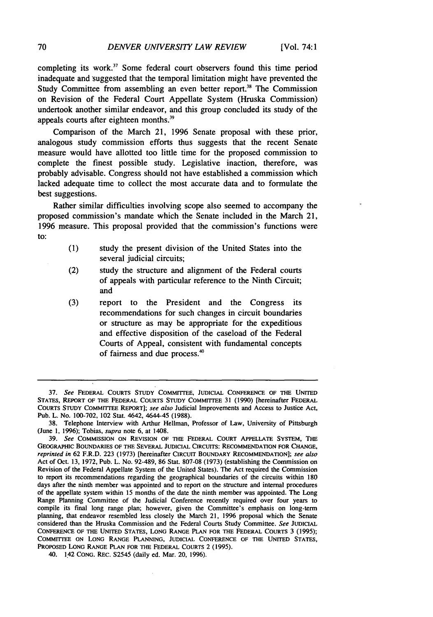completing its work.<sup>37</sup> Some federal court observers found this time period inadequate and suggested that the temporal limitation might have prevented the Study Committee from assembling an even better report.<sup>38</sup> The Commission on Revision of the Federal Court Appellate System (Hruska Commission) undertook another similar endeavor, and this group concluded its study of the appeals courts after eighteen months.<sup>39</sup>

Comparison of the March 21, 1996 Senate proposal with these prior, analogous study commission efforts thus suggests that the recent Senate measure would have allotted too little time for the proposed commission to complete the finest possible study. Legislative inaction, therefore, was probably advisable. Congress should not have established a commission which lacked adequate time to collect the most accurate data and to formulate the best suggestions.

Rather similar difficulties involving scope also seemed to accompany the proposed commission's mandate which the Senate included in the March 21, 1996 measure. This proposal provided that the commission's functions were to:

- (1) study the present division of the United States into the several judicial circuits;
- (2) study the structure and alignment of the Federal courts of appeals with particular reference to the Ninth Circuit; and
- (3) report to the President and the Congress its recommendations for such changes in circuit boundaries or structure as may be appropriate for the expeditious and effective disposition of the caseload of the Federal Courts of Appeal, consistent with fundamental concepts of fairness and due process.<sup>40</sup>

<sup>37.</sup> *See* FEDERAL COURTS STUDY COMMITTEE, JUDICIAL CONFERENCE OF THE UNITED STATES, REPORT OF THE FEDERAL COURTS STUDY COMMITTEE 31 (1990) [hereinafter FEDERAL COURTS STUDY COMMITTEE REPORT]; *see also* Judicial Improvements and Access to Justice Act, Pub. L. No. 100-702, 102 Stat. 4642, 4644-45 (1988).

<sup>38.</sup> Telephone Interview with Arthur Hellman, Professor of Law, University of Pittsburgh (June 1, 1996); Tobias, *supra* note 6, at 1408.

<sup>39.</sup> *See* COMMISSION ON REVISION OF THE FEDERAL COURT APPELLATE SYSTEM, THE GEOGRAPHIC BOUNDARIES OF THE SEVERAL JUDICIAL CIRCUITS: RECOMMENDATION FOR CHANGE, *reprinted in* 62 F.R.D. 223 (1973) [hereinafter CIRCUIT BOUNDARY RECOMMENDATION]; *see also*  Act of Oct. 13, 1972, Pub. L. No. 92-489, 86 Stat. 807-08 (1973) (establishing the Commission on Revision of the Federal Appellate System of the United States). The Act required the Commission to report its recommendations regarding the geographical boundaries of the circuits within 180 days after the ninth member was appointed and to report on the structure and internal procedures of the appellate system within 15 months of the date the ninth member was appointed. The Long Range Planning Committee of the Judicial Conference recently required over four years to compile its final long range plan; however, given the Committee's emphasis on long-term planning, that endeavor resembled less closely the March 21, 1996 proposal which the Senate considered than the Hruska Commission and the Federal Courts Study Committee. *See* JUDICIAL CONFERENCE OF THE UNITED STATES, LONG RANGE PLAN FOR THE FEDERAL COURTS 3 (1995); COMMITTEE ON LONG RANGE PLANNING, JUDICIAL CONFERENCE OF THE UNITED STATES, PROPOSED LoNG RANGE PLAN FOR THE FEDERAL COURTS 2 (1995).

<sup>40. 1.42</sup> CONG. REC. S2545 (daily ed. Mar. 20, 1996).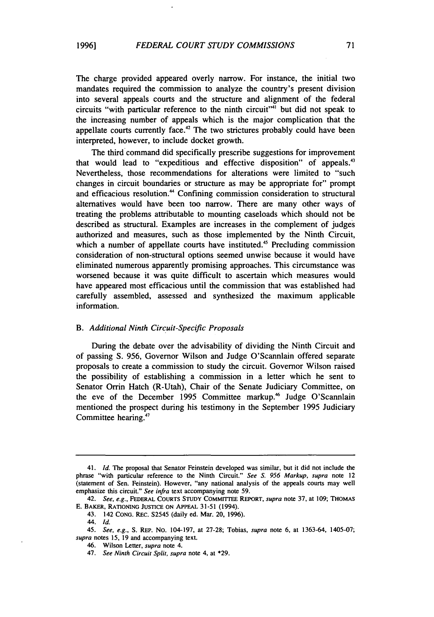The charge provided appeared overly narrow. For instance, the initial two mandates required the commission to analyze the country's present division into several appeals courts and the structure and alignment of the federal circuits "with particular reference to the ninth circuit"<sup>41</sup> but did not speak to the increasing number of appeals which is the major complication that the appellate courts currently face.<sup> $42$ </sup> The two strictures probably could have been interpreted, however, to include docket growth.

The third command did specifically prescribe suggestions for improvement that would lead to "expeditious and effective disposition" of appeals.43 Nevertheless, those recommendations for alterations were limited to "such changes in circuit boundaries or structure as may be appropriate for" prompt and efficacious resolution.<sup>44</sup> Confining commission consideration to structural alternatives would have been too narrow. There are many other ways of treating the problems attributable to mounting caseloads which should not be described as structural. Examples are increases in the complement of judges authorized and measures, such as those implemented by the Ninth Circuit, which a number of appellate courts have instituted.<sup>45</sup> Precluding commission consideration of non-structural options seemed unwise because it would have eliminated numerous apparently promising approaches. This circumstance was worsened because it was quite difficult to ascertain which measures would have appeared most efficacious until the commission that was established had carefully assembled, assessed and synthesized the maximum applicable information.

#### B. *Additional Ninth Circuit-Specific Proposals*

During the debate over the advisability of dividing the Ninth Circuit and of passing S. 956, Governor Wilson and Judge O'Scannlain offered separate proposals to create a commission to study the circuit. Governor Wilson raised the possibility of establishing a commission in a letter which he sent to Senator Orrin Hatch (R-Utah), Chair of the Senate Judiciary Committee, on the eve of the December 1995 Committee markup.<sup>46</sup> Judge O'Scannlain mentioned the prospect during his testimony in the September 1995 Judiciary Committee hearing.<sup>47</sup>

<sup>41.</sup> *Id.* The proposal that Senator Feinstein developed was similar, but it did not include the phrase "with particular reference to the Ninth Circuit." *See* S. *956 Markup, supra* note 12 (statement of Sen. Feinstein). However, "any national analysis of the appeals courts may well emphasize this circuit." *See infra* text accompanying note 59.

<sup>42.</sup> *See, e.g.,* FEDERAL COURTS STUDY COMMITIEE REPORT, *supra* note 37, at 109; THOMAS E. BAKER, RATIONING JUSTICE ON APPEAL 31-51 (1994).

<sup>43. 142</sup> CONG. REC. S2545 (daily ed. Mar. 20, 1996).

<sup>44.</sup> *Id.* 

<sup>45.</sup> *See, e.g.,* S. REP. No. 104-197, at 27-28; Tobias, *supra* note 6, at 1363-64, 1405-07; *supra* notes 15, 19 and accompanying text.

<sup>46.</sup> Wilson Letter, *supra* note 4.

<sup>47.</sup> *See Ninth Circuit Split, supra* note 4, at \*29.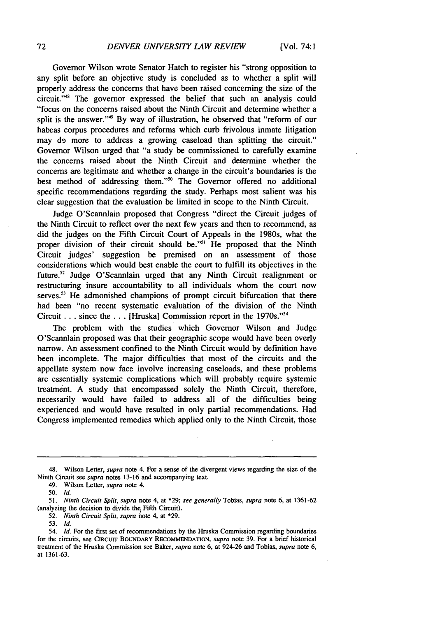Governor Wilson wrote Senator Hatch to register his "strong opposition to any split before an objective study is concluded as to whether a split will properly address the concerns that have been raised concerning the size of the circuit."48 The governor expressed the belief that such an analysis could "focus on the concerns raised about the Ninth Circuit and determine whether a split is the answer."49 By way of illustration, he observed that "reform of our habeas corpus procedures and reforms which curb frivolous inmate litigation may d9 more to address a growing caseload than splitting the circuit." Governor Wilson urged that "a study be commissioned to carefully examine the concerns raised about the Ninth Circuit and determine whether the concerns are legitimate and whether a change in the circuit's boundaries is the best method of addressing them."50 The Governor offered no additional specific recommendations regarding the study. Perhaps most salient was his clear suggestion that the evaluation be limited in scope to the Ninth Circuit.

Judge O'Scannlain proposed that Congress "direct the Circuit judges of the Ninth Circuit to reflect over the next few years and then to recommend, as did the judges on the Fifth Circuit Court of Appeals in the 1980s, what the proper division of their circuit should be."<sup>51</sup> He proposed that the Ninth Circuit judges' suggestion be premised on an assessment of those considerations which would best enable the court to fulfill its objectives in the future.<sup>52</sup> Judge O'Scannlain urged that any Ninth Circuit realignment or restructuring insure accountability to all individuals whom the court now serves.<sup>53</sup> He admonished champions of prompt circuit bifurcation that there had been "no recent systematic evaluation of the division of the Ninth Circuit ... since the ... [Hruska] Commission report in the 1970s."54

The problem with the studies which Governor Wilson and Judge O'Scannlain proposed was that their geographic scope would have been overly narrow. An assessment confined to the Ninth Circuit would by definition have been incomplete. The major difficulties that most of the circuits and the appellate system now face involve increasing caseloads, and these problems are essentially systemic complications which will probably require systemic treatment. A study that encompassed solely the Ninth Circuit, therefore, necessarily would have failed to address all of the difficulties being experienced and would have resulted in only partial recommendations. Had Congress implemented remedies which applied only to the Ninth Circuit, those

<sup>48.</sup> Wilson Letter, *supra* note 4. For a sense of the divergent views regarding the size of the Ninth Circuit see *supra* notes 13-16 and accompanying text.

<sup>49.</sup> Wilson Letter, *supra* note 4.

<sup>50.</sup> Id.

<sup>51.</sup> *Ninth Circuit Split, supra* note 4, at \*29; *see generally* Tobias, *supra* note 6, at 1361-62 (analyzing the decision to divide the Fifth Circuit).

<sup>52.</sup> *Ninth Circuit Split, supra* note 4, at \*29.

<sup>53.</sup> Id.

<sup>54.</sup> Id. For the first set of recommendations by the Hruska Commission regarding boundaries for the circuits, see CIRCUIT BOUNDARY RECOMMENDATION, *supra* note 39. For a brief historical treatment of the Hruska Commission see Baker, *supra* note 6, at 924-26 and Tobias, *supra* note 6, at 1361-63.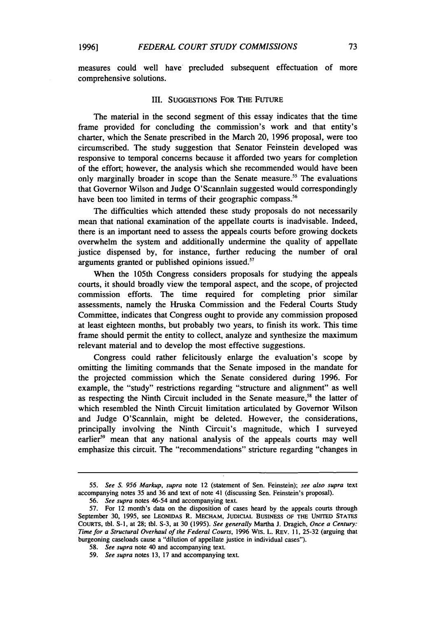measures could well have precluded subsequent effectuation of more comprehensive solutions.

#### III. SUGGESTIONS FOR THE FuTURE

The material in the second segment of this essay indicates that the time frame provided for concluding the commission's work and that entity's charter, which the Senate prescribed in the March 20, 1996 proposal, were too circumscribed. The study suggestion that Senator Feinstein developed was responsive to temporal concerns because it afforded two years for completion of the effort; however, the analysis which she recommended would have been only marginally broader in scope than the Senate measure.<sup>55</sup> The evaluations that Governor Wilson and Judge O'Scannlain suggested would correspondingly have been too limited in terms of their geographic compass.<sup>56</sup>

The difficulties which attended these study proposals do not necessarily mean that national examination of the appellate courts is inadvisable. Indeed, there is an important need to assess the appeals courts before growing dockets overwhelm the system and additionally undermine the quality of appellate justice dispensed by, for instance, further reducing the number of oral arguments granted or published opinions issued. $57$ 

When the 105th Congress considers proposals for studying the appeals courts, it should broadly view the temporal aspect, and the scope, of projected commission efforts. The time required for completing prior similar assessments, namely the Hruska Commission and the Federal Courts Study Committee, indicates that Congress ought to provide any commission proposed at least eighteen months, but probably two years, to finish its work. This time frame should permit the entity to collect, analyze and synthesize the maximum relevant material and to develop the most effective suggestions.

Congress could rather felicitously enlarge the evaluation's scope by omitting the limiting commands that the Senate imposed in the mandate for the projected commission which the Senate considered during 1996. For example, the "study" restrictions regarding "structure and alignment" as well as respecting the Ninth Circuit included in the Senate measure,<sup>58</sup> the latter of which resembled the Ninth Circuit limitation articulated by Governor Wilson and Judge O'Scannlain, might be deleted. However, the considerations, principally involving the Ninth Circuit's magnitude, which I surveyed earlier<sup>59</sup> mean that any national analysis of the appeals courts may well emphasize this circuit. The "recommendations" stricture regarding "changes in

*<sup>55.</sup> See S. 956 Markup, supra* note 12 (statement of Sen. Feinstein); *see also supra* text accompanying notes 35 and 36 and text of note 41 (discussing Sen. Feinstein's proposal).

<sup>56.</sup> *See supra* notes 46-54 and accompanying text.

<sup>57.</sup> For 12 month's data on the disposition of cases heard by the appeals courts through September 30, 1995, see LEONIDAS R. MECHAM, JUDICIAL BUSINESS OF THE UNITED STATES COURTS, tbl. S-1, at 28; tbl. S-3, at 30 (1995). *See generally* Martha J. Dragich, *Once a Century: Time for a Structural Overhaul of the Federal Courts,* 1996 WIS. L. REV. 11, 25-32 (arguing that burgeoning caseloads cause a "dilution of appellate justice in individual cases").

<sup>58.</sup> *See supra* note 40 and accompanying text.

<sup>59.</sup> *See supra* notes 13, 17 and accompanying text.